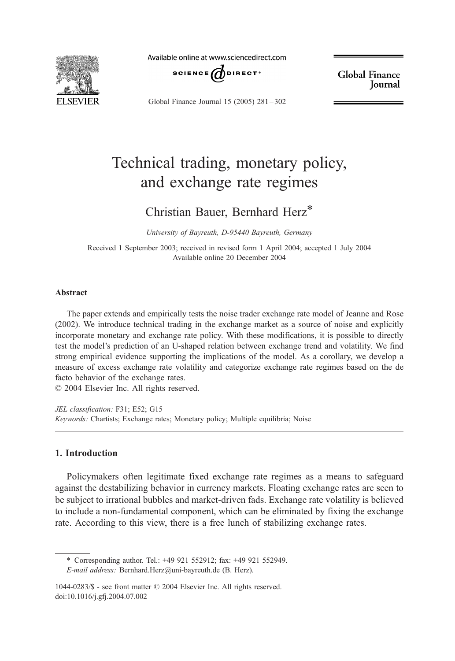

Available online at www.sciencedirect.com



**Global Finance** Journal

Global Finance Journal 15 (2005) 281 – 302

# Technical trading, monetary policy, and exchange rate regimes

### Christian Bauer, Bernhard Herz\*

University of Bayreuth, D-95440 Bayreuth, Germany

Received 1 September 2003; received in revised form 1 April 2004; accepted 1 July 2004 Available online 20 December 2004

#### Abstract

The paper extends and empirically tests the noise trader exchange rate model of Jeanne and Rose (2002). We introduce technical trading in the exchange market as a source of noise and explicitly incorporate monetary and exchange rate policy. With these modifications, it is possible to directly test the model's prediction of an U-shaped relation between exchange trend and volatility. We find strong empirical evidence supporting the implications of the model. As a corollary, we develop a measure of excess exchange rate volatility and categorize exchange rate regimes based on the de facto behavior of the exchange rates.

 $\odot$  2004 Elsevier Inc. All rights reserved.

JEL classification: F31; E52; G15 Keywords: Chartists; Exchange rates; Monetary policy; Multiple equilibria; Noise

### 1. Introduction

Policymakers often legitimate fixed exchange rate regimes as a means to safeguard against the destabilizing behavior in currency markets. Floating exchange rates are seen to be subject to irrational bubbles and market-driven fads. Exchange rate volatility is believed to include a non-fundamental component, which can be eliminated by fixing the exchange rate. According to this view, there is a free lunch of stabilizing exchange rates.

<sup>\*</sup> Corresponding author. Tel.: +49 921 552912; fax: +49 921 552949. E-mail address: Bernhard.Herz@uni-bayreuth.de (B. Herz).

<sup>1044-0283/\$ -</sup> see front matter © 2004 Elsevier Inc. All rights reserved. doi:10.1016/j.gfj.2004.07.002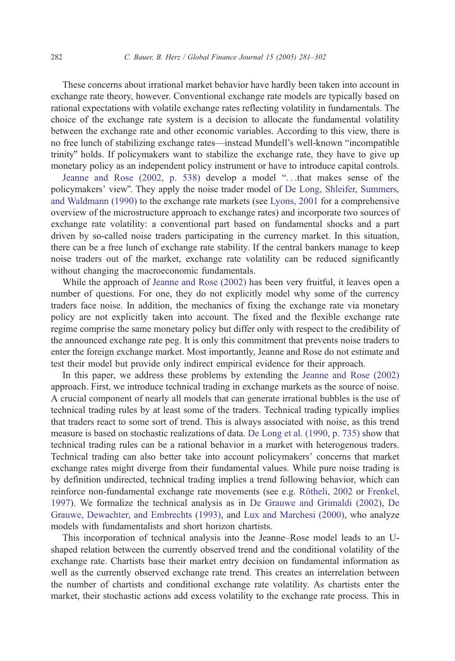These concerns about irrational market behavior have hardly been taken into account in exchange rate theory, however. Conventional exchange rate models are typically based on rational expectations with volatile exchange rates reflecting volatility in fundamentals. The choice of the exchange rate system is a decision to allocate the fundamental volatility between the exchange rate and other economic variables. According to this view, there is no free lunch of stabilizing exchange rates—instead Mundell's well-known bincompatible trinity" holds. If policymakers want to stabilize the exchange rate, they have to give up monetary policy as an independent policy instrument or have to introduce capital controls.

[Jeanne and Rose \(2002, p. 538\)](#page--1-0) develop a model "...that makes sense of the policymakers' view". They apply the noise trader model of [De Long, Shleifer, Summers,](#page--1-0) and Waldmann (1990) to the exchange rate markets (see [Lyons, 2001](#page--1-0) for a comprehensive overview of the microstructure approach to exchange rates) and incorporate two sources of exchange rate volatility: a conventional part based on fundamental shocks and a part driven by so-called noise traders participating in the currency market. In this situation, there can be a free lunch of exchange rate stability. If the central bankers manage to keep noise traders out of the market, exchange rate volatility can be reduced significantly without changing the macroeconomic fundamentals.

While the approach of [Jeanne and Rose \(2002\)](#page--1-0) has been very fruitful, it leaves open a number of questions. For one, they do not explicitly model why some of the currency traders face noise. In addition, the mechanics of fixing the exchange rate via monetary policy are not explicitly taken into account. The fixed and the flexible exchange rate regime comprise the same monetary policy but differ only with respect to the credibility of the announced exchange rate peg. It is only this commitment that prevents noise traders to enter the foreign exchange market. Most importantly, Jeanne and Rose do not estimate and test their model but provide only indirect empirical evidence for their approach.

In this paper, we address these problems by extending the [Jeanne and Rose \(2002\)](#page--1-0) approach. First, we introduce technical trading in exchange markets as the source of noise. A crucial component of nearly all models that can generate irrational bubbles is the use of technical trading rules by at least some of the traders. Technical trading typically implies that traders react to some sort of trend. This is always associated with noise, as this trend measure is based on stochastic realizations of data. [De Long et al. \(1990, p. 735\)](#page--1-0) show that technical trading rules can be a rational behavior in a market with heterogenous traders. Technical trading can also better take into account policymakers' concerns that market exchange rates might diverge from their fundamental values. While pure noise trading is by definition undirected, technical trading implies a trend following behavior, which can reinforce non-fundamental exchange rate movements (see e.g. Rötheli, 2002 or [Frenkel,](#page--1-0) 1997). We formalize the technical analysis as in [De Grauwe and Grimaldi \(2002\),](#page--1-0) [De](#page--1-0) Grauwe, Dewachter, and Embrechts (1993), and [Lux and Marchesi \(2000\),](#page--1-0) who analyze models with fundamentalists and short horizon chartists.

This incorporation of technical analysis into the Jeanne–Rose model leads to an Ushaped relation between the currently observed trend and the conditional volatility of the exchange rate. Chartists base their market entry decision on fundamental information as well as the currently observed exchange rate trend. This creates an interrelation between the number of chartists and conditional exchange rate volatility. As chartists enter the market, their stochastic actions add excess volatility to the exchange rate process. This in